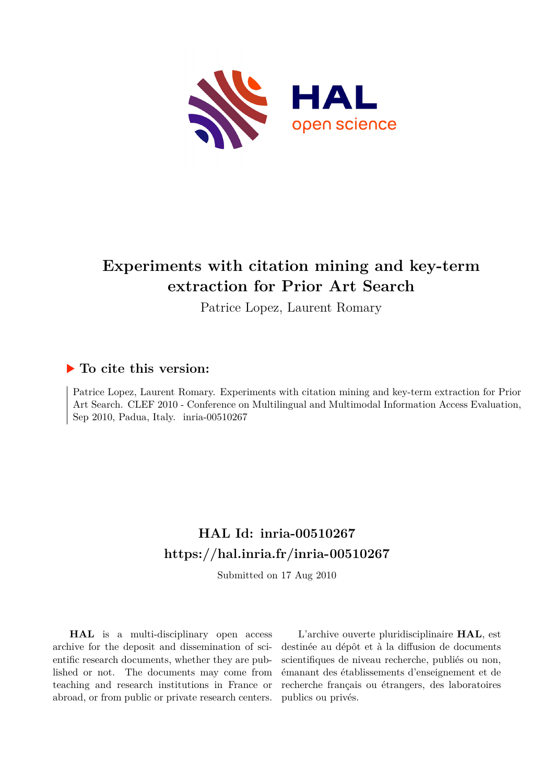

# **Experiments with citation mining and key-term extraction for Prior Art Search**

Patrice Lopez, Laurent Romary

# **To cite this version:**

Patrice Lopez, Laurent Romary. Experiments with citation mining and key-term extraction for Prior Art Search. CLEF 2010 - Conference on Multilingual and Multimodal Information Access Evaluation, Sep 2010, Padua, Italy. inria-00510267

# **HAL Id: inria-00510267 <https://hal.inria.fr/inria-00510267>**

Submitted on 17 Aug 2010

**HAL** is a multi-disciplinary open access archive for the deposit and dissemination of scientific research documents, whether they are published or not. The documents may come from teaching and research institutions in France or abroad, or from public or private research centers.

L'archive ouverte pluridisciplinaire **HAL**, est destinée au dépôt et à la diffusion de documents scientifiques de niveau recherche, publiés ou non, émanant des établissements d'enseignement et de recherche français ou étrangers, des laboratoires publics ou privés.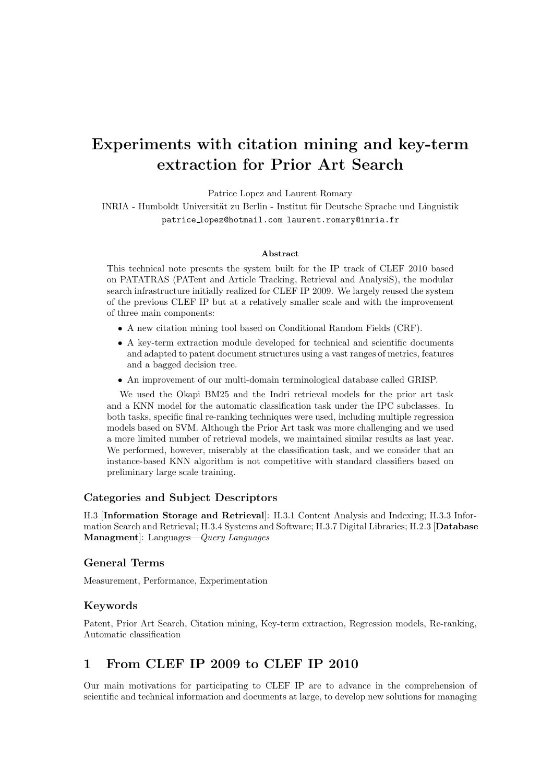# Experiments with citation mining and key-term extraction for Prior Art Search

Patrice Lopez and Laurent Romary

INRIA - Humboldt Universität zu Berlin - Institut für Deutsche Sprache und Linguistik patrice lopez@hotmail.com laurent.romary@inria.fr

#### Abstract

This technical note presents the system built for the IP track of CLEF 2010 based on PATATRAS (PATent and Article Tracking, Retrieval and AnalysiS), the modular search infrastructure initially realized for CLEF IP 2009. We largely reused the system of the previous CLEF IP but at a relatively smaller scale and with the improvement of three main components:

- A new citation mining tool based on Conditional Random Fields (CRF).
- A key-term extraction module developed for technical and scientific documents and adapted to patent document structures using a vast ranges of metrics, features and a bagged decision tree.
- An improvement of our multi-domain terminological database called GRISP.

We used the Okapi BM25 and the Indri retrieval models for the prior art task and a KNN model for the automatic classification task under the IPC subclasses. In both tasks, specific final re-ranking techniques were used, including multiple regression models based on SVM. Although the Prior Art task was more challenging and we used a more limited number of retrieval models, we maintained similar results as last year. We performed, however, miserably at the classification task, and we consider that an instance-based KNN algorithm is not competitive with standard classifiers based on preliminary large scale training.

#### Categories and Subject Descriptors

H.3 [Information Storage and Retrieval]: H.3.1 Content Analysis and Indexing; H.3.3 Information Search and Retrieval; H.3.4 Systems and Software; H.3.7 Digital Libraries; H.2.3 [Database Managment]: Languages—*Query Languages*

#### General Terms

Measurement, Performance, Experimentation

## Keywords

Patent, Prior Art Search, Citation mining, Key-term extraction, Regression models, Re-ranking, Automatic classification

## 1 From CLEF IP 2009 to CLEF IP 2010

Our main motivations for participating to CLEF IP are to advance in the comprehension of scientific and technical information and documents at large, to develop new solutions for managing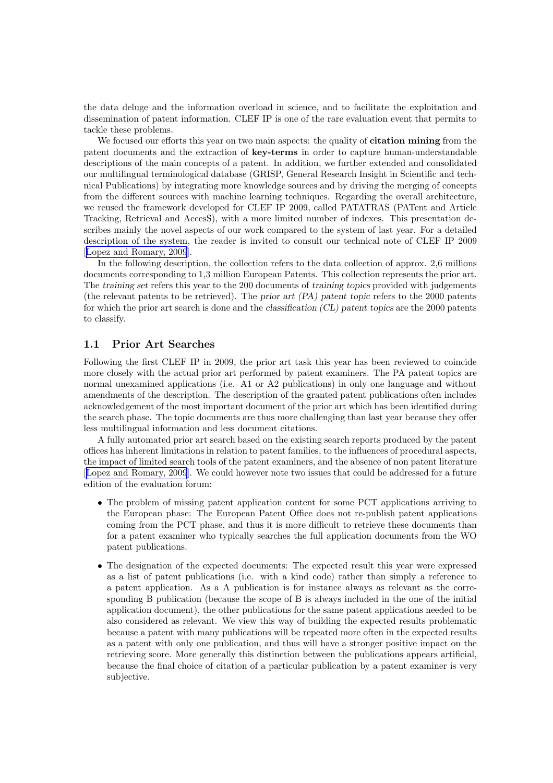the data deluge and the information overload in science, and to facilitate the exploitation and dissemination of patent information. CLEF IP is one of the rare evaluation event that permits to tackle these problems.

We focused our efforts this year on two main aspects: the quality of **citation mining** from the patent documents and the extraction of key-terms in order to capture human-understandable descriptions of the main concepts of a patent. In addition, we further extended and consolidated our multilingual terminological database (GRISP, General Research Insight in Scientific and technical Publications) by integrating more knowledge sources and by driving the merging of concepts from the different sources with machine learning techniques. Regarding the overall architecture, we reused the framework developed for CLEF IP 2009, called PATATRAS (PATent and Article Tracking, Retrieval and AccesS), with a more limited number of indexes. This presentation describes mainly the novel aspects of our work compared to the system of last year. For a detailed description of the system, the reader is invited to consult our technical note of CLEF IP 2009 [[Lopez and Romary, 2009](#page-11-0)].

In the following description, the collection refers to the data collection of approx. 2,6 millions documents corresponding to 1,3 million European Patents. This collection represents the prior art. The training set refers this year to the 200 documents of training topics provided with judgements (the relevant patents to be retrieved). The prior art (PA) patent topic refers to the 2000 patents for which the prior art search is done and the classification (CL) patent topics are the 2000 patents to classify.

### 1.1 Prior Art Searches

Following the first CLEF IP in 2009, the prior art task this year has been reviewed to coincide more closely with the actual prior art performed by patent examiners. The PA patent topics are normal unexamined applications (i.e. A1 or A2 publications) in only one language and without amendments of the description. The description of the granted patent publications often includes acknowledgement of the most important document of the prior art which has been identified during the search phase. The topic documents are thus more challenging than last year because they offer less multilingual information and less document citations.

A fully automated prior art search based on the existing search reports produced by the patent offices has inherent limitations in relation to patent families, to the influences of procedural aspects, the impact of limited search tools of the patent examiners, and the absence of non patent literature [[Lopez and Romary, 2009](#page-11-0)]. We could however note two issues that could be addressed for a future edition of the evaluation forum:

- The problem of missing patent application content for some PCT applications arriving to the European phase: The European Patent Office does not re-publish patent applications coming from the PCT phase, and thus it is more difficult to retrieve these documents than for a patent examiner who typically searches the full application documents from the WO patent publications.
- The designation of the expected documents: The expected result this year were expressed as a list of patent publications (i.e. with a kind code) rather than simply a reference to a patent application. As a A publication is for instance always as relevant as the corresponding B publication (because the scope of B is always included in the one of the initial application document), the other publications for the same patent applications needed to be also considered as relevant. We view this way of building the expected results problematic because a patent with many publications will be repeated more often in the expected results as a patent with only one publication, and thus will have a stronger positive impact on the retrieving score. More generally this distinction between the publications appears artificial, because the final choice of citation of a particular publication by a patent examiner is very subjective.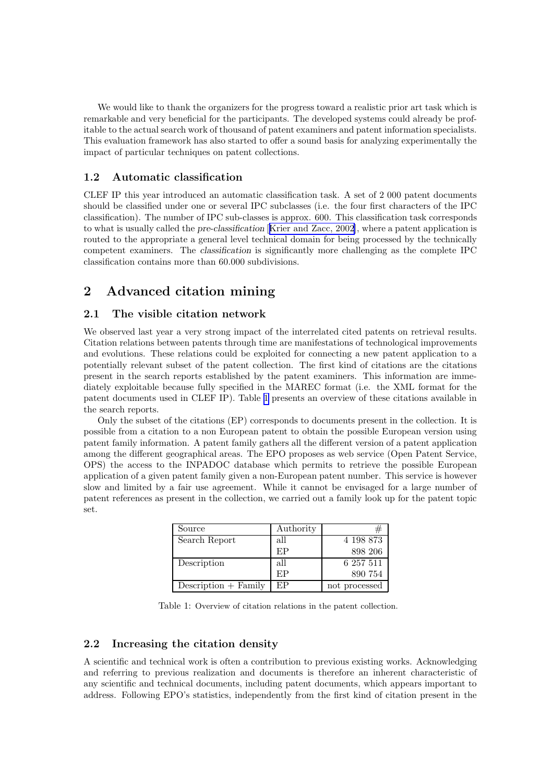<span id="page-3-0"></span>We would like to thank the organizers for the progress toward a realistic prior art task which is remarkable and very beneficial for the participants. The developed systems could already be profitable to the actual search work of thousand of patent examiners and patent information specialists. This evaluation framework has also started to offer a sound basis for analyzing experimentally the impact of particular techniques on patent collections.

## 1.2 Automatic classification

CLEF IP this year introduced an automatic classification task. A set of 2 000 patent documents should be classified under one or several IPC subclasses (i.e. the four first characters of the IPC classification). The number of IPC sub-classes is approx. 600. This classification task corresponds to what is usually called the pre-classification [[Krier and Zacc, 2002](#page-10-0)], where a patent application is routed to the appropriate a general level technical domain for being processed by the technically competent examiners. The classification is significantly more challenging as the complete IPC classification contains more than 60.000 subdivisions.

# 2 Advanced citation mining

### 2.1 The visible citation network

We observed last year a very strong impact of the interrelated cited patents on retrieval results. Citation relations between patents through time are manifestations of technological improvements and evolutions. These relations could be exploited for connecting a new patent application to a potentially relevant subset of the patent collection. The first kind of citations are the citations present in the search reports established by the patent examiners. This information are immediately exploitable because fully specified in the MAREC format (i.e. the XML format for the patent documents used in CLEF IP). Table 1 presents an overview of these citations available in the search reports.

Only the subset of the citations (EP) corresponds to documents present in the collection. It is possible from a citation to a non European patent to obtain the possible European version using patent family information. A patent family gathers all the different version of a patent application among the different geographical areas. The EPO proposes as web service (Open Patent Service, OPS) the access to the INPADOC database which permits to retrieve the possible European application of a given patent family given a non-European patent number. This service is however slow and limited by a fair use agreement. While it cannot be envisaged for a large number of patent references as present in the collection, we carried out a family look up for the patent topic set.

| Source                 | Authority |               |
|------------------------|-----------|---------------|
| Search Report          | all       | 4 198 873     |
|                        | FP        | 898 206       |
| Description            | all       | 6 257 511     |
|                        | F.P       | 890 754       |
| $Description + Family$ | ЕP        | not processed |

Table 1: Overview of citation relations in the patent collection.

#### 2.2 Increasing the citation density

A scientific and technical work is often a contribution to previous existing works. Acknowledging and referring to previous realization and documents is therefore an inherent characteristic of any scientific and technical documents, including patent documents, which appears important to address. Following EPO's statistics, independently from the first kind of citation present in the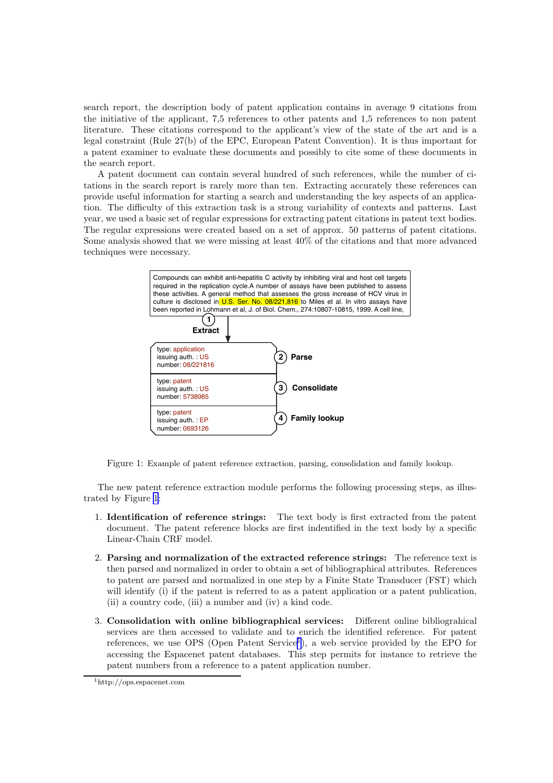search report, the description body of patent application contains in average 9 citations from the initiative of the applicant, 7,5 references to other patents and 1,5 references to non patent literature. These citations correspond to the applicant's view of the state of the art and is a legal constraint (Rule 27(b) of the EPC, European Patent Convention). It is thus important for a patent examiner to evaluate these documents and possibly to cite some of these documents in the search report.

A patent document can contain several hundred of such references, while the number of citations in the search report is rarely more than ten. Extracting accurately these references can provide useful information for starting a search and understanding the key aspects of an application. The difficulty of this extraction task is a strong variability of contexts and patterns. Last year, we used a basic set of regular expressions for extracting patent citations in patent text bodies. The regular expressions were created based on a set of approx. 50 patterns of patent citations. Some analysis showed that we were missing at least 40% of the citations and that more advanced techniques were necessary.



Figure 1: Example of patent reference extraction, parsing, consolidation and family lookup.

The new patent reference extraction module performs the following processing steps, as illustrated by Figure 1:

- 1. Identification of reference strings: The text body is first extracted from the patent document. The patent reference blocks are first indentified in the text body by a specific Linear-Chain CRF model.
- 2. Parsing and normalization of the extracted reference strings: The reference text is then parsed and normalized in order to obtain a set of bibliographical attributes. References to patent are parsed and normalized in one step by a Finite State Transducer (FST) which will identify (i) if the patent is referred to as a patent application or a patent publication, (ii) a country code, (iii) a number and (iv) a kind code.
- 3. Consolidation with online bibliographical services: Different online bibliograhical services are then accessed to validate and to enrich the identified reference. For patent references, we use OPS (Open Patent Service<sup>1</sup>), a web service provided by the EPO for accessing the Espacenet patent databases. This step permits for instance to retrieve the patent numbers from a reference to a patent application number.

<sup>1</sup>http://ops.espacenet.com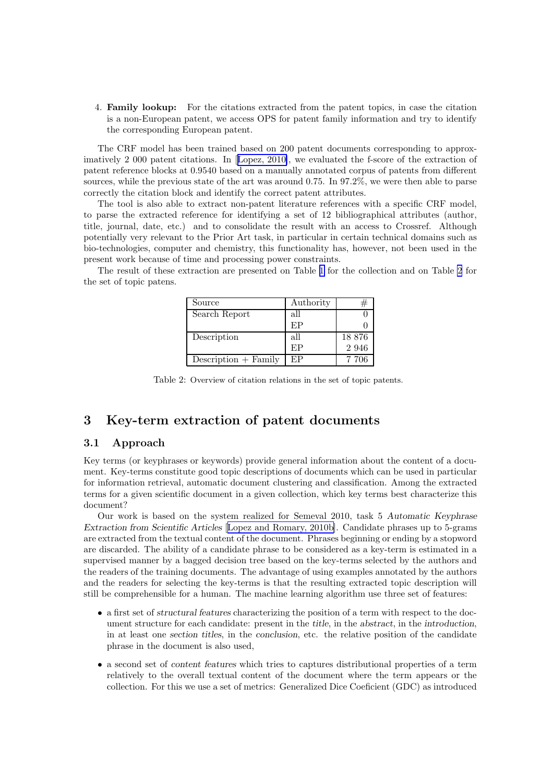4. Family lookup: For the citations extracted from the patent topics, in case the citation is a non-European patent, we access OPS for patent family information and try to identify the corresponding European patent.

The CRF model has been trained based on 200 patent documents corresponding to approximatively 2 000 patent citations. In[[Lopez, 2010\]](#page-11-0), we evaluated the f-score of the extraction of patent reference blocks at 0.9540 based on a manually annotated corpus of patents from different sources, while the previous state of the art was around 0.75. In 97.2%, we were then able to parse correctly the citation block and identify the correct patent attributes.

The tool is also able to extract non-patent literature references with a specific CRF model, to parse the extracted reference for identifying a set of 12 bibliographical attributes (author, title, journal, date, etc.) and to consolidate the result with an access to Crossref. Although potentially very relevant to the Prior Art task, in particular in certain technical domains such as bio-technologies, computer and chemistry, this functionality has, however, not been used in the present work because of time and processing power constraints.

The result of these extraction are presented on Table [1](#page-3-0) for the collection and on Table 2 for the set of topic patens.

| Source                 | Authority |         |
|------------------------|-----------|---------|
| Search Report          | all       |         |
|                        | FP        |         |
| Description            | all       | 18876   |
|                        | EP        | 2 9 4 6 |
| $Description + Family$ | EP        | 7 706   |

Table 2: Overview of citation relations in the set of topic patents.

# 3 Key-term extraction of patent documents

## 3.1 Approach

Key terms (or keyphrases or keywords) provide general information about the content of a document. Key-terms constitute good topic descriptions of documents which can be used in particular for information retrieval, automatic document clustering and classification. Among the extracted terms for a given scientific document in a given collection, which key terms best characterize this document?

Our work is based on the system realized for Semeval 2010, task 5 Automatic Keyphrase Extraction from Scientific Articles [[Lopez and Romary, 2010b\]](#page-11-0). Candidate phrases up to 5-grams are extracted from the textual content of the document. Phrases beginning or ending by a stopword are discarded. The ability of a candidate phrase to be considered as a key-term is estimated in a supervised manner by a bagged decision tree based on the key-terms selected by the authors and the readers of the training documents. The advantage of using examples annotated by the authors and the readers for selecting the key-terms is that the resulting extracted topic description will still be comprehensible for a human. The machine learning algorithm use three set of features:

- a first set of structural features characterizing the position of a term with respect to the document structure for each candidate: present in the title, in the abstract, in the introduction, in at least one section titles, in the conclusion, etc. the relative position of the candidate phrase in the document is also used,
- a second set of content features which tries to captures distributional properties of a term relatively to the overall textual content of the document where the term appears or the collection. For this we use a set of metrics: Generalized Dice Coeficient (GDC) as introduced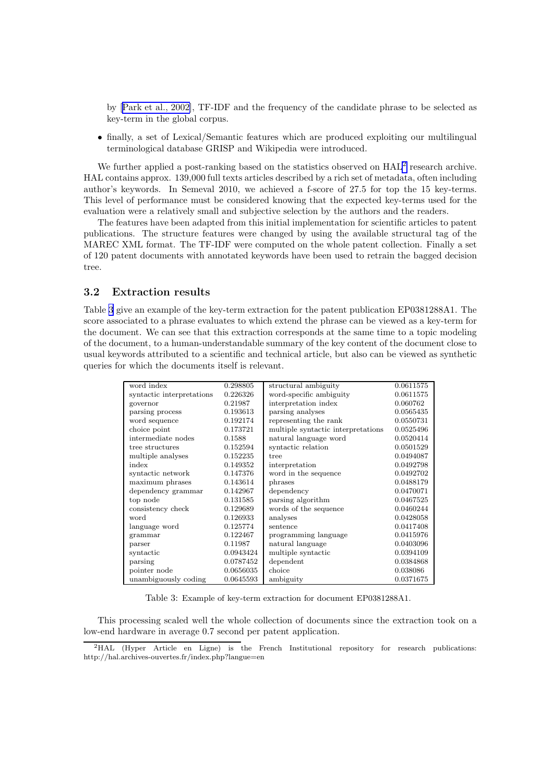by[[Park et al., 2002\]](#page-11-0), TF-IDF and the frequency of the candidate phrase to be selected as key-term in the global corpus.

• finally, a set of Lexical/Semantic features which are produced exploiting our multilingual terminological database GRISP and Wikipedia were introduced.

We further applied a post-ranking based on the statistics observed on  $HAL<sup>2</sup>$  research archive. HAL contains approx. 139,000 full texts articles described by a rich set of metadata, often including author's keywords. In Semeval 2010, we achieved a f-score of 27.5 for top the 15 key-terms. This level of performance must be considered knowing that the expected key-terms used for the evaluation were a relatively small and subjective selection by the authors and the readers.

The features have been adapted from this initial implementation for scientific articles to patent publications. The structure features were changed by using the available structural tag of the MAREC XML format. The TF-IDF were computed on the whole patent collection. Finally a set of 120 patent documents with annotated keywords have been used to retrain the bagged decision tree.

## 3.2 Extraction results

Table 3 give an example of the key-term extraction for the patent publication EP0381288A1. The score associated to a phrase evaluates to which extend the phrase can be viewed as a key-term for the document. We can see that this extraction corresponds at the same time to a topic modeling of the document, to a human-understandable summary of the key content of the document close to usual keywords attributed to a scientific and technical article, but also can be viewed as synthetic queries for which the documents itself is relevant.

| word index                | 0.298805  | structural ambiguity               | 0.0611575 |
|---------------------------|-----------|------------------------------------|-----------|
| syntactic interpretations | 0.226326  | word-specific ambiguity            | 0.0611575 |
| governor                  | 0.21987   | interpretation index               | 0.060762  |
| parsing process           | 0.193613  | parsing analyses                   | 0.0565435 |
| word sequence             | 0.192174  | representing the rank              | 0.0550731 |
| choice point              | 0.173721  | multiple syntactic interpretations | 0.0525496 |
| intermediate nodes        | 0.1588    | natural language word              | 0.0520414 |
| tree structures           | 0.152594  | syntactic relation                 | 0.0501529 |
| multiple analyses         | 0.152235  | tree                               | 0.0494087 |
| index                     | 0.149352  | interpretation                     | 0.0492798 |
| syntactic network         | 0.147376  | word in the sequence               | 0.0492702 |
| maximum phrases           | 0.143614  | phrases                            | 0.0488179 |
| dependency grammar        | 0.142967  | dependency                         | 0.0470071 |
| top node                  | 0.131585  | parsing algorithm                  | 0.0467525 |
| consistency check         | 0.129689  | words of the sequence              | 0.0460244 |
| word                      | 0.126933  | analyses                           | 0.0428058 |
| language word             | 0.125774  | sentence                           | 0.0417408 |
| grammar                   | 0.122467  | programming language               | 0.0415976 |
| parser                    | 0.11987   | natural language                   | 0.0403096 |
| syntactic                 | 0.0943424 | multiple syntactic                 | 0.0394109 |
| parsing                   | 0.0787452 | dependent                          | 0.0384868 |
| pointer node              | 0.0656035 | choice                             | 0.038086  |
| unambiguously coding      | 0.0645593 | ambiguity                          | 0.0371675 |

Table 3: Example of key-term extraction for document EP0381288A1.

This processing scaled well the whole collection of documents since the extraction took on a low-end hardware in average 0.7 second per patent application.

<sup>&</sup>lt;sup>2</sup>HAL (Hyper Article en Ligne) is the French Institutional repository for research publications: http://hal.archives-ouvertes.fr/index.php?langue=en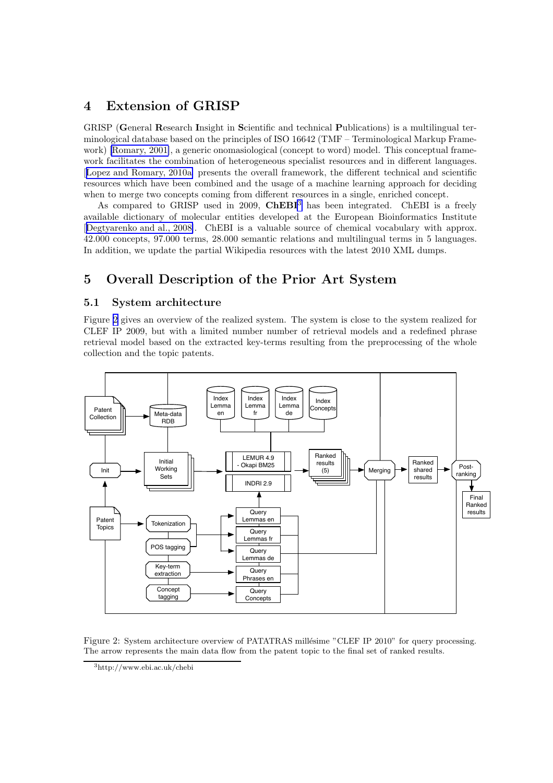# 4 Extension of GRISP

GRISP (General Research Insight in Scientific and technical Publications) is a multilingual terminological database based on the principles of ISO 16642 (TMF – Terminological Markup Framework) [\[Romary, 2001\]](#page-11-0), a generic onomasiological (concept to word) model. This conceptual framework facilitates the combination of heterogeneous specialist resources and in different languages. [[Lopez and Romary, 2010a\]](#page-11-0) presents the overall framework, the different technical and scientific resources which have been combined and the usage of a machine learning approach for deciding when to merge two concepts coming from different resources in a single, enriched concept.

As compared to GRISP used in 2009,  $\mathbf{CheBI}^3$  has been integrated. ChEBI is a freely available dictionary of molecular entities developed at the European Bioinformatics Institute [[Degtyarenko and al., 2008\]](#page-10-0). ChEBI is a valuable source of chemical vocabulary with approx. 42.000 concepts, 97.000 terms, 28.000 semantic relations and multilingual terms in 5 languages. In addition, we update the partial Wikipedia resources with the latest 2010 XML dumps.

# 5 Overall Description of the Prior Art System

## 5.1 System architecture

Figure 2 gives an overview of the realized system. The system is close to the system realized for CLEF IP 2009, but with a limited number number of retrieval models and a redefined phrase retrieval model based on the extracted key-terms resulting from the preprocessing of the whole collection and the topic patents.



Figure 2: System architecture overview of PATATRAS millésime "CLEF IP 2010" for query processing. The arrow represents the main data flow from the patent topic to the final set of ranked results.

<sup>3</sup>http://www.ebi.ac.uk/chebi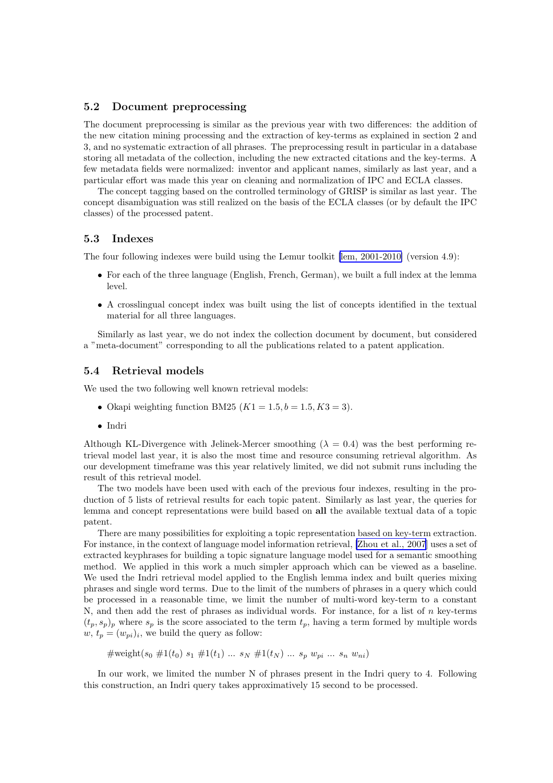#### 5.2 Document preprocessing

The document preprocessing is similar as the previous year with two differences: the addition of the new citation mining processing and the extraction of key-terms as explained in section 2 and 3, and no systematic extraction of all phrases. The preprocessing result in particular in a database storing all metadata of the collection, including the new extracted citations and the key-terms. A few metadata fields were normalized: inventor and applicant names, similarly as last year, and a particular effort was made this year on cleaning and normalization of IPC and ECLA classes.

The concept tagging based on the controlled terminology of GRISP is similar as last year. The concept disambiguation was still realized on the basis of the ECLA classes (or by default the IPC classes) of the processed patent.

#### 5.3 Indexes

The four following indexes were build using the Lemur toolkit [\[lem, 2001-2010\]](#page-10-0) (version 4.9):

- For each of the three language (English, French, German), we built a full index at the lemma level.
- A crosslingual concept index was built using the list of concepts identified in the textual material for all three languages.

Similarly as last year, we do not index the collection document by document, but considered a "meta-document" corresponding to all the publications related to a patent application.

#### 5.4 Retrieval models

We used the two following well known retrieval models:

- Okapi weighting function BM25  $(K1 = 1.5, b = 1.5, K3 = 3)$ .
- Indri

Although KL-Divergence with Jelinek-Mercer smoothing ( $\lambda = 0.4$ ) was the best performing retrieval model last year, it is also the most time and resource consuming retrieval algorithm. As our development timeframe was this year relatively limited, we did not submit runs including the result of this retrieval model.

The two models have been used with each of the previous four indexes, resulting in the production of 5 lists of retrieval results for each topic patent. Similarly as last year, the queries for lemma and concept representations were build based on all the available textual data of a topic patent.

There are many possibilities for exploiting a topic representation based on key-term extraction. For instance, in the context of language model information retrieval, [\[Zhou et al., 2007](#page-11-0)] uses a set of extracted keyphrases for building a topic signature language model used for a semantic smoothing method. We applied in this work a much simpler approach which can be viewed as a baseline. We used the Indri retrieval model applied to the English lemma index and built queries mixing phrases and single word terms. Due to the limit of the numbers of phrases in a query which could be processed in a reasonable time, we limit the number of multi-word key-term to a constant N, and then add the rest of phrases as individual words. For instance, for a list of  $n$  key-terms  $(t_p, s_p)$  where  $s_p$  is the score associated to the term  $t_p$ , having a term formed by multiple words  $w, t_p = (w_{pi})_i$ , we build the query as follow:

#weight( $s_0$  #1( $t_0$ )  $s_1$  #1( $t_1$ ) ...  $s_N$  #1( $t_N$ ) ...  $s_p$   $w_{pi}$  ...  $s_n$   $w_{ni}$ )

In our work, we limited the number N of phrases present in the Indri query to 4. Following this construction, an Indri query takes approximatively 15 second to be processed.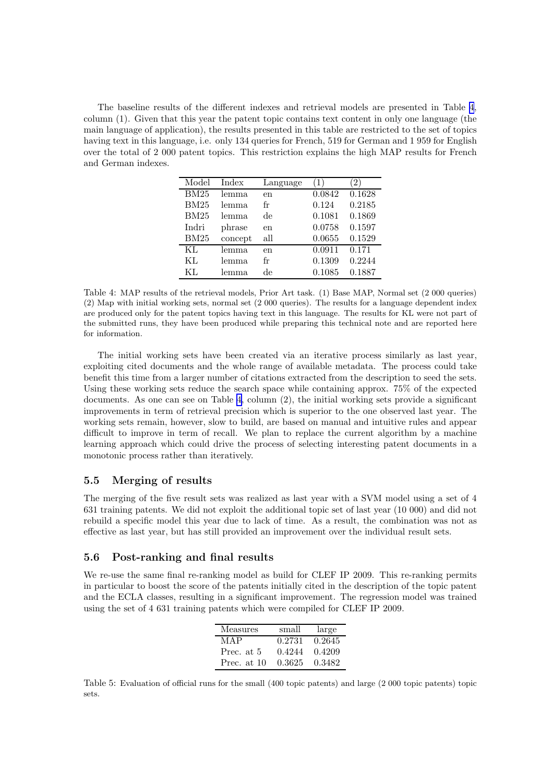<span id="page-9-0"></span>The baseline results of the different indexes and retrieval models are presented in Table 4, column (1). Given that this year the patent topic contains text content in only one language (the main language of application), the results presented in this table are restricted to the set of topics having text in this language, i.e. only 134 queries for French, 519 for German and 1 959 for English over the total of 2 000 patent topics. This restriction explains the high MAP results for French and German indexes.

| Model       | Index   | Language |        | $\overline{2}$ |
|-------------|---------|----------|--------|----------------|
| <b>BM25</b> | lemma   | en       | 0.0842 | 0.1628         |
| BM25        | lemma   | fr       | 0.124  | 0.2185         |
| <b>BM25</b> | lemma   | de       | 0.1081 | 0.1869         |
| Indri       | phrase  | en       | 0.0758 | 0.1597         |
| BM25        | concept | all      | 0.0655 | 0.1529         |
| KL          | lemma.  | en       | 0.0911 | 0.171          |
| KL          | lemma.  | fr       | 0.1309 | 0.2244         |
| KL          | lemma   | de       | 0.1085 | 0.1887         |

Table 4: MAP results of the retrieval models, Prior Art task. (1) Base MAP, Normal set (2 000 queries) (2) Map with initial working sets, normal set (2 000 queries). The results for a language dependent index are produced only for the patent topics having text in this language. The results for KL were not part of the submitted runs, they have been produced while preparing this technical note and are reported here for information.

The initial working sets have been created via an iterative process similarly as last year, exploiting cited documents and the whole range of available metadata. The process could take benefit this time from a larger number of citations extracted from the description to seed the sets. Using these working sets reduce the search space while containing approx. 75% of the expected documents. As one can see on Table 4, column (2), the initial working sets provide a significant improvements in term of retrieval precision which is superior to the one observed last year. The working sets remain, however, slow to build, are based on manual and intuitive rules and appear difficult to improve in term of recall. We plan to replace the current algorithm by a machine learning approach which could drive the process of selecting interesting patent documents in a monotonic process rather than iteratively.

## 5.5 Merging of results

The merging of the five result sets was realized as last year with a SVM model using a set of 4 631 training patents. We did not exploit the additional topic set of last year (10 000) and did not rebuild a specific model this year due to lack of time. As a result, the combination was not as effective as last year, but has still provided an improvement over the individual result sets.

#### 5.6 Post-ranking and final results

We re-use the same final re-ranking model as build for CLEF IP 2009. This re-ranking permits in particular to boost the score of the patents initially cited in the description of the topic patent and the ECLA classes, resulting in a significant improvement. The regression model was trained using the set of 4 631 training patents which were compiled for CLEF IP 2009.

| Measures    | small  | large  |
|-------------|--------|--------|
| MAP         | 0.2731 | 0.2645 |
| Prec. at 5  | 0.4244 | 0.4209 |
| Prec. at 10 | 0.3625 | 0.3482 |

Table 5: Evaluation of official runs for the small (400 topic patents) and large (2 000 topic patents) topic sets.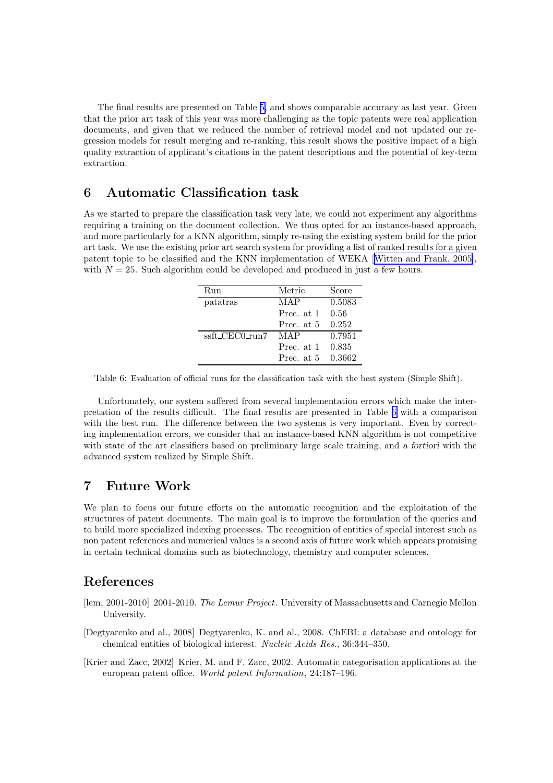<span id="page-10-0"></span>The final results are presented on Table [5,](#page-9-0) and shows comparable accuracy as last year. Given that the prior art task of this year was more challenging as the topic patents were real application documents, and given that we reduced the number of retrieval model and not updated our regression models for result merging and re-ranking, this result shows the positive impact of a high quality extraction of applicant's citations in the patent descriptions and the potential of key-term extraction.

# 6 Automatic Classification task

As we started to prepare the classification task very late, we could not experiment any algorithms requiring a training on the document collection. We thus opted for an instance-based approach, and more particularly for a KNN algorithm, simply re-using the existing system build for the prior art task. We use the existing prior art search system for providing a list of ranked results for a given patent topic to be classified and the KNN implementation of WEKA[[Witten and Frank, 2005\]](#page-11-0), with  $N = 25$ . Such algorithm could be developed and produced in just a few hours.

| Run            | Metric     | Score  |
|----------------|------------|--------|
| patatras       | MAP        | 0.5083 |
|                | Prec. at 1 | 0.56   |
|                | Prec. at 5 | 0.252  |
| ssft CEC0 run7 | MAP        | 0.7951 |
|                | Prec. at 1 | 0.835  |
|                | Prec. at 5 | 0.3662 |

Table 6: Evaluation of official runs for the classification task with the best system (Simple Shift).

Unfortunately, our system suffered from several implementation errors which make the interpretation of the results difficult. The final results are presented in Table 6 with a comparison with the best run. The difference between the two systems is very important. Even by correcting implementation errors, we consider that an instance-based KNN algorithm is not competitive with state of the art classifiers based on preliminary large scale training, and a fortiori with the advanced system realized by Simple Shift.

## 7 Future Work

We plan to focus our future efforts on the automatic recognition and the exploitation of the structures of patent documents. The main goal is to improve the formulation of the queries and to build more specialized indexing processes. The recognition of entities of special interest such as non patent references and numerical values is a second axis of future work which appears promising in certain technical domains such as biotechnology, chemistry and computer sciences.

## References

- [lem, 2001-2010] 2001-2010. *The Lemur Project*. University of Massachusetts and Carnegie Mellon University.
- [Degtyarenko and al., 2008] Degtyarenko, K. and al., 2008. ChEBI: a database and ontology for chemical entities of biological interest. *Nucleic Acids Res.*, 36:344–350.

[Krier and Zacc, 2002] Krier, M. and F. Zacc, 2002. Automatic categorisation applications at the european patent office. *World patent Information*, 24:187–196.